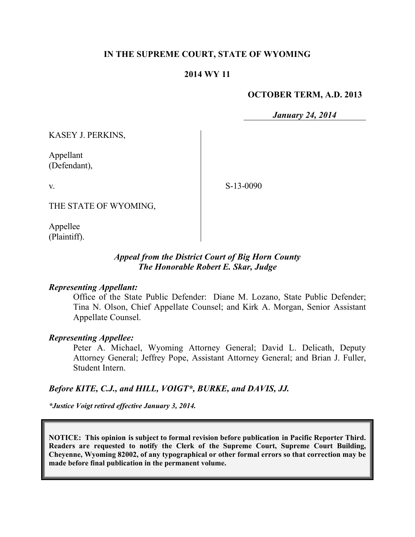# **IN THE SUPREME COURT, STATE OF WYOMING**

## **2014 WY 11**

### **OCTOBER TERM, A.D. 2013**

*January 24, 2014*

KASEY J. PERKINS,

Appellant (Defendant),

v.

S-13-0090

THE STATE OF WYOMING,

Appellee (Plaintiff).

# *Appeal from the District Court of Big Horn County The Honorable Robert E. Skar, Judge*

### *Representing Appellant:*

Office of the State Public Defender: Diane M. Lozano, State Public Defender; Tina N. Olson, Chief Appellate Counsel; and Kirk A. Morgan, Senior Assistant Appellate Counsel.

#### *Representing Appellee:*

Peter A. Michael, Wyoming Attorney General; David L. Delicath, Deputy Attorney General; Jeffrey Pope, Assistant Attorney General; and Brian J. Fuller, Student Intern.

### *Before KITE, C.J., and HILL, VOIGT\*, BURKE, and DAVIS, JJ.*

*\*Justice Voigt retired effective January 3, 2014.*

**NOTICE: This opinion is subject to formal revision before publication in Pacific Reporter Third. Readers are requested to notify the Clerk of the Supreme Court, Supreme Court Building, Cheyenne, Wyoming 82002, of any typographical or other formal errors so that correction may be made before final publication in the permanent volume.**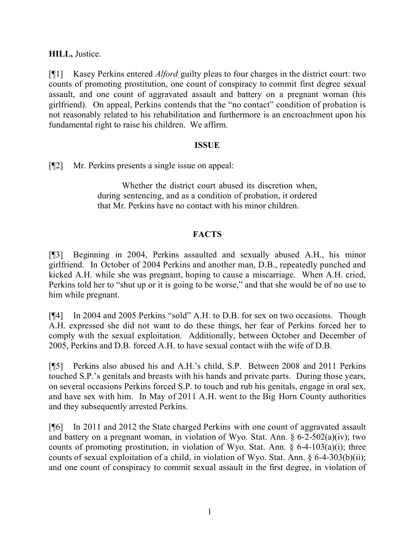**HILL,** Justice.

[¶1] Kasey Perkins entered *Alford* guilty pleas to four charges in the district court: two counts of promoting prostitution, one count of conspiracy to commit first degree sexual assault, and one count of aggravated assault and battery on a pregnant woman (his girlfriend). On appeal, Perkins contends that the "no contact" condition of probation is not reasonably related to his rehabilitation and furthermore is an encroachment upon his fundamental right to raise his children. We affirm.

## **ISSUE**

[¶2] Mr. Perkins presents a single issue on appeal:

Whether the district court abused its discretion when, during sentencing, and as a condition of probation, it ordered that Mr. Perkins have no contact with his minor children.

# **FACTS**

[¶3] Beginning in 2004, Perkins assaulted and sexually abused A.H., his minor girlfriend. In October of 2004 Perkins and another man, D.B., repeatedly punched and kicked A.H. while she was pregnant, hoping to cause a miscarriage. When A.H. cried, Perkins told her to "shut up or it is going to be worse," and that she would be of no use to him while pregnant.

[¶4] In 2004 and 2005 Perkins "sold" A.H. to D.B. for sex on two occasions. Though A.H. expressed she did not want to do these things, her fear of Perkins forced her to comply with the sexual exploitation. Additionally, between October and December of 2005, Perkins and D.B. forced A.H. to have sexual contact with the wife of D.B.

[¶5] Perkins also abused his and A.H.'s child, S.P. Between 2008 and 2011 Perkins touched S.P.'s genitals and breasts with his hands and private parts. During those years, on several occasions Perkins forced S.P. to touch and rub his genitals, engage in oral sex, and have sex with him. In May of 2011 A.H. went to the Big Horn County authorities and they subsequently arrested Perkins.

[¶6] In 2011 and 2012 the State charged Perkins with one count of aggravated assault and battery on a pregnant woman, in violation of Wyo. Stat. Ann. § 6-2-502(a)(iv); two counts of promoting prostitution, in violation of Wyo. Stat. Ann.  $\S$  6-4-103(a)(i); three counts of sexual exploitation of a child, in violation of Wyo. Stat. Ann. § 6-4-303(b)(ii); and one count of conspiracy to commit sexual assault in the first degree, in violation of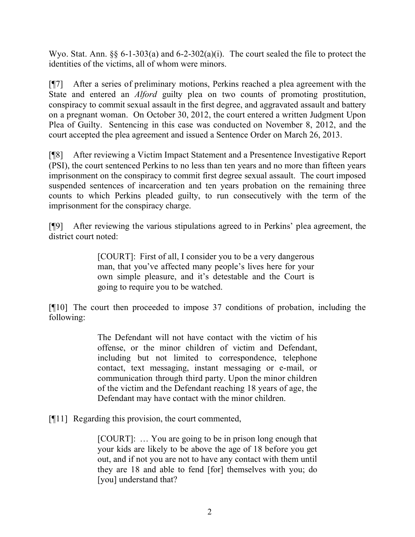Wyo. Stat. Ann. §§ 6-1-303(a) and 6-2-302(a)(i). The court sealed the file to protect the identities of the victims, all of whom were minors.

[¶7] After a series of preliminary motions, Perkins reached a plea agreement with the State and entered an *Alford* guilty plea on two counts of promoting prostitution, conspiracy to commit sexual assault in the first degree, and aggravated assault and battery on a pregnant woman. On October 30, 2012, the court entered a written Judgment Upon Plea of Guilty. Sentencing in this case was conducted on November 8, 2012, and the court accepted the plea agreement and issued a Sentence Order on March 26, 2013.

[¶8] After reviewing a Victim Impact Statement and a Presentence Investigative Report (PSI), the court sentenced Perkins to no less than ten years and no more than fifteen years imprisonment on the conspiracy to commit first degree sexual assault. The court imposed suspended sentences of incarceration and ten years probation on the remaining three counts to which Perkins pleaded guilty, to run consecutively with the term of the imprisonment for the conspiracy charge.

[¶9] After reviewing the various stipulations agreed to in Perkins' plea agreement, the district court noted:

> [COURT]: First of all, I consider you to be a very dangerous man, that you've affected many people's lives here for your own simple pleasure, and it's detestable and the Court is going to require you to be watched.

[¶10] The court then proceeded to impose 37 conditions of probation, including the following:

> The Defendant will not have contact with the victim of his offense, or the minor children of victim and Defendant, including but not limited to correspondence, telephone contact, text messaging, instant messaging or e-mail, or communication through third party. Upon the minor children of the victim and the Defendant reaching 18 years of age, the Defendant may have contact with the minor children.

[¶11] Regarding this provision, the court commented,

[COURT]: … You are going to be in prison long enough that your kids are likely to be above the age of 18 before you get out, and if not you are not to have any contact with them until they are 18 and able to fend [for] themselves with you; do [you] understand that?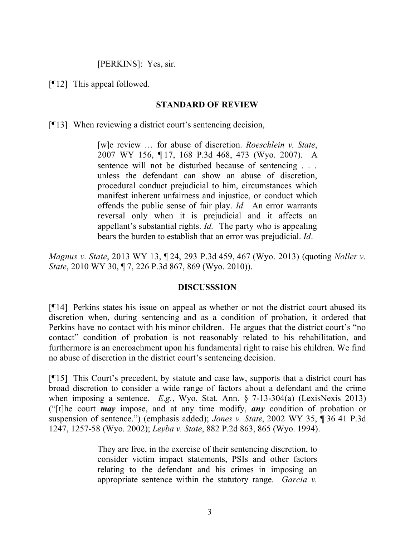[PERKINS]: Yes, sir.

[¶12] This appeal followed.

### **STANDARD OF REVIEW**

[¶13] When reviewing a district court's sentencing decision,

[w]e review … for abuse of discretion. *Roeschlein v. State*, 2007 WY 156, ¶ 17, 168 P.3d 468, 473 (Wyo. 2007). A sentence will not be disturbed because of sentencing . . . unless the defendant can show an abuse of discretion, procedural conduct prejudicial to him, circumstances which manifest inherent unfairness and injustice, or conduct which offends the public sense of fair play. *Id.* An error warrants reversal only when it is prejudicial and it affects an appellant's substantial rights. *Id.* The party who is appealing bears the burden to establish that an error was prejudicial. *Id*.

*Magnus v. State*, 2013 WY 13, ¶ 24, 293 P.3d 459, 467 (Wyo. 2013) (quoting *Noller v. State*, 2010 WY 30, ¶ 7, 226 P.3d 867, 869 (Wyo. 2010)).

### **DISCUSSSION**

[¶14] Perkins states his issue on appeal as whether or not the district court abused its discretion when, during sentencing and as a condition of probation, it ordered that Perkins have no contact with his minor children. He argues that the district court's "no contact" condition of probation is not reasonably related to his rehabilitation, and furthermore is an encroachment upon his fundamental right to raise his children. We find no abuse of discretion in the district court's sentencing decision.

[¶15] This Court's precedent, by statute and case law, supports that a district court has broad discretion to consider a wide range of factors about a defendant and the crime when imposing a sentence. *E.g.*, Wyo. Stat. Ann. § 7-13-304(a) (LexisNexis 2013) ("[t]he court *may* impose, and at any time modify, *any* condition of probation or suspension of sentence.") (emphasis added); *Jones v. State*, 2002 WY 35, ¶ 36 41 P.3d 1247, 1257-58 (Wyo. 2002); *Leyba v. State*, 882 P.2d 863, 865 (Wyo. 1994).

> They are free, in the exercise of their sentencing discretion, to consider victim impact statements, PSIs and other factors relating to the defendant and his crimes in imposing an appropriate sentence within the statutory range. *Garcia v.*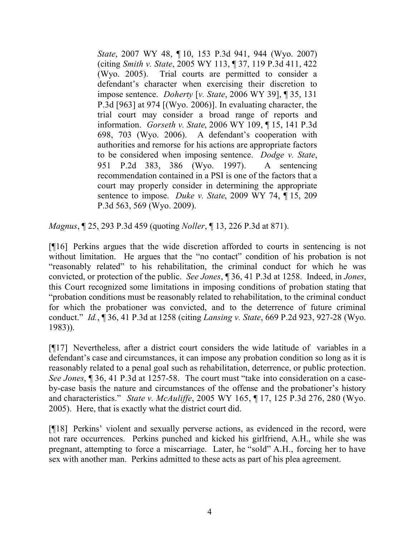*State*, 2007 WY 48, ¶ 10, 153 P.3d 941, 944 (Wyo. 2007) (citing *Smith v. State*, 2005 WY 113, ¶ 37, 119 P.3d 411, 422 (Wyo. 2005). Trial courts are permitted to consider a defendant's character when exercising their discretion to impose sentence. *Doherty* [*v. State*, 2006 WY 39], ¶ 35, 131 P.3d [963] at 974 [(Wyo. 2006)]. In evaluating character, the trial court may consider a broad range of reports and information. *Gorseth v. State*, 2006 WY 109, ¶ 15, 141 P.3d 698, 703 (Wyo. 2006). A defendant's cooperation with authorities and remorse for his actions are appropriate factors to be considered when imposing sentence. *Dodge v. State*, 951 P.2d 383, 386 (Wyo. 1997). A sentencing recommendation contained in a PSI is one of the factors that a court may properly consider in determining the appropriate sentence to impose. *Duke v. State*, 2009 WY 74, ¶ 15, 209 P.3d 563, 569 (Wyo. 2009).

*Magnus*, ¶ 25, 293 P.3d 459 (quoting *Noller*, ¶ 13, 226 P.3d at 871).

[¶16] Perkins argues that the wide discretion afforded to courts in sentencing is not without limitation. He argues that the "no contact" condition of his probation is not "reasonably related" to his rehabilitation, the criminal conduct for which he was convicted, or protection of the public. *See Jones*, ¶ 36, 41 P.3d at 1258. Indeed, in *Jones*, this Court recognized some limitations in imposing conditions of probation stating that "probation conditions must be reasonably related to rehabilitation, to the criminal conduct for which the probationer was convicted, and to the deterrence of future criminal conduct." *Id.*, ¶ 36, 41 P.3d at 1258 (citing *Lansing v. State*, 669 P.2d 923, 927-28 (Wyo. 1983)).

[¶17] Nevertheless, after a district court considers the wide latitude of variables in a defendant's case and circumstances, it can impose any probation condition so long as it is reasonably related to a penal goal such as rehabilitation, deterrence, or public protection. *See Jones*, ¶ 36, 41 P.3d at 1257-58. The court must "take into consideration on a caseby-case basis the nature and circumstances of the offense and the probationer's history and characteristics." *State v. McAuliffe*, 2005 WY 165, ¶ 17, 125 P.3d 276, 280 (Wyo. 2005). Here, that is exactly what the district court did.

[¶18] Perkins' violent and sexually perverse actions, as evidenced in the record, were not rare occurrences. Perkins punched and kicked his girlfriend, A.H., while she was pregnant, attempting to force a miscarriage. Later, he "sold" A.H., forcing her to have sex with another man. Perkins admitted to these acts as part of his plea agreement.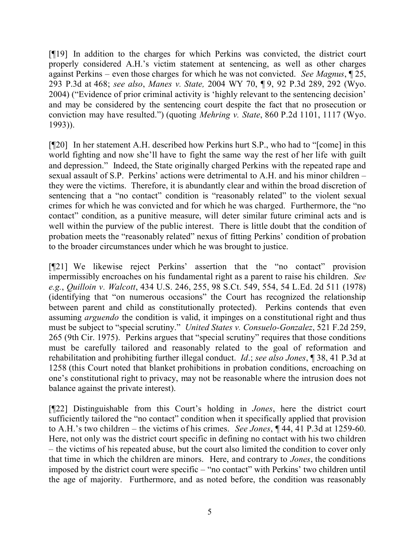[¶19] In addition to the charges for which Perkins was convicted, the district court properly considered A.H.'s victim statement at sentencing, as well as other charges against Perkins – even those charges for which he was not convicted. *See Magnus*, ¶ 25, 293 P.3d at 468; *see also*, *Manes v. State,* 2004 WY 70, ¶ 9, 92 P.3d 289, 292 (Wyo. 2004) ("Evidence of prior criminal activity is 'highly relevant to the sentencing decision' and may be considered by the sentencing court despite the fact that no prosecution or conviction may have resulted.") (quoting *Mehring v. State*, 860 P.2d 1101, 1117 (Wyo. 1993)).

[¶20] In her statement A.H. described how Perkins hurt S.P., who had to "[come] in this world fighting and now she'll have to fight the same way the rest of her life with guilt and depression." Indeed, the State originally charged Perkins with the repeated rape and sexual assault of S.P. Perkins' actions were detrimental to A.H. and his minor children – they were the victims. Therefore, it is abundantly clear and within the broad discretion of sentencing that a "no contact" condition is "reasonably related" to the violent sexual crimes for which he was convicted and for which he was charged. Furthermore, the "no contact" condition, as a punitive measure, will deter similar future criminal acts and is well within the purview of the public interest. There is little doubt that the condition of probation meets the "reasonably related" nexus of fitting Perkins' condition of probation to the broader circumstances under which he was brought to justice.

[¶21] We likewise reject Perkins' assertion that the "no contact" provision impermissibly encroaches on his fundamental right as a parent to raise his children. *See e.g.*, *Quilloin v. Walcott*, 434 U.S. 246, 255, 98 S.Ct. 549, 554, 54 L.Ed. 2d 511 (1978) (identifying that "on numerous occasions" the Court has recognized the relationship between parent and child as constitutionally protected). Perkins contends that even assuming *arguendo* the condition is valid, it impinges on a constitutional right and thus must be subject to "special scrutiny." *United States v. Consuelo-Gonzalez*, 521 F.2d 259, 265 (9th Cir. 1975). Perkins argues that "special scrutiny" requires that those conditions must be carefully tailored and reasonably related to the goal of reformation and rehabilitation and prohibiting further illegal conduct. *Id*.; *see also Jones*, ¶ 38, 41 P.3d at 1258 (this Court noted that blanket prohibitions in probation conditions, encroaching on one's constitutional right to privacy, may not be reasonable where the intrusion does not balance against the private interest).

[¶22] Distinguishable from this Court's holding in *Jones*, here the district court sufficiently tailored the "no contact" condition when it specifically applied that provision to A.H.'s two children – the victims of his crimes. *See Jones*, ¶ 44, 41 P.3d at 1259-60. Here, not only was the district court specific in defining no contact with his two children – the victims of his repeated abuse, but the court also limited the condition to cover only that time in which the children are minors. Here, and contrary to *Jones*, the conditions imposed by the district court were specific – "no contact" with Perkins' two children until the age of majority. Furthermore, and as noted before, the condition was reasonably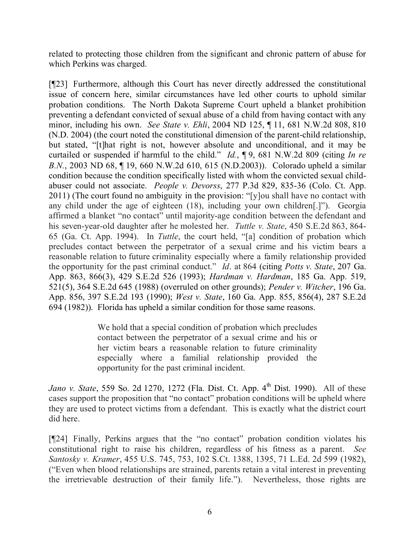related to protecting those children from the significant and chronic pattern of abuse for which Perkins was charged.

[¶23] Furthermore, although this Court has never directly addressed the constitutional issue of concern here, similar circumstances have led other courts to uphold similar probation conditions. The North Dakota Supreme Court upheld a blanket prohibition preventing a defendant convicted of sexual abuse of a child from having contact with any minor, including his own. *See State v. Ehli*, 2004 ND 125, ¶ 11, 681 N.W.2d 808, 810 (N.D. 2004) (the court noted the constitutional dimension of the parent-child relationship, but stated, "[t]hat right is not, however absolute and unconditional, and it may be curtailed or suspended if harmful to the child." *Id.*, ¶ 9, 681 N.W.2d 809 (citing *In re B.N.*, 2003 ND 68, ¶ 19, 660 N.W.2d 610, 615 (N.D.2003)). Colorado upheld a similar condition because the condition specifically listed with whom the convicted sexual childabuser could not associate. *People v. Devorss*, 277 P.3d 829, 835-36 (Colo. Ct. App. 2011) (The court found no ambiguity in the provision: "[y]ou shall have no contact with any child under the age of eighteen (18), including your own children[.]"). Georgia affirmed a blanket "no contact" until majority-age condition between the defendant and his seven-year-old daughter after he molested her. *Tuttle v. State*, 450 S.E.2d 863, 864- 65 (Ga. Ct. App. 1994). In *Tuttle*, the court held, "[a] condition of probation which precludes contact between the perpetrator of a sexual crime and his victim bears a reasonable relation to future criminality especially where a family relationship provided the opportunity for the past criminal conduct." *Id*. at 864 (citing *Potts v. State*, 207 Ga. App. 863, 866(3), 429 S.E.2d 526 (1993); *Hardman v. Hardman*, 185 Ga. App. 519, 521(5), 364 S.E.2d 645 (1988) (overruled on other grounds); *Pender v. Witcher*, 196 Ga. App. 856, 397 S.E.2d 193 (1990); *West v. State*, 160 Ga. App. 855, 856(4), 287 S.E.2d 694 (1982)). Florida has upheld a similar condition for those same reasons.

> We hold that a special condition of probation which precludes contact between the perpetrator of a sexual crime and his or her victim bears a reasonable relation to future criminality especially where a familial relationship provided the opportunity for the past criminal incident.

*Jano v. State*, 559 So. 2d 1270, 1272 (Fla. Dist. Ct. App. 4<sup>th</sup> Dist. 1990). All of these cases support the proposition that "no contact" probation conditions will be upheld where they are used to protect victims from a defendant. This is exactly what the district court did here.

[¶24] Finally, Perkins argues that the "no contact" probation condition violates his constitutional right to raise his children, regardless of his fitness as a parent. *See Santosky v. Kramer*, 455 U.S. 745, 753, 102 S.Ct. 1388, 1395, 71 L.Ed. 2d 599 (1982), ("Even when blood relationships are strained, parents retain a vital interest in preventing the irretrievable destruction of their family life."). Nevertheless, those rights are